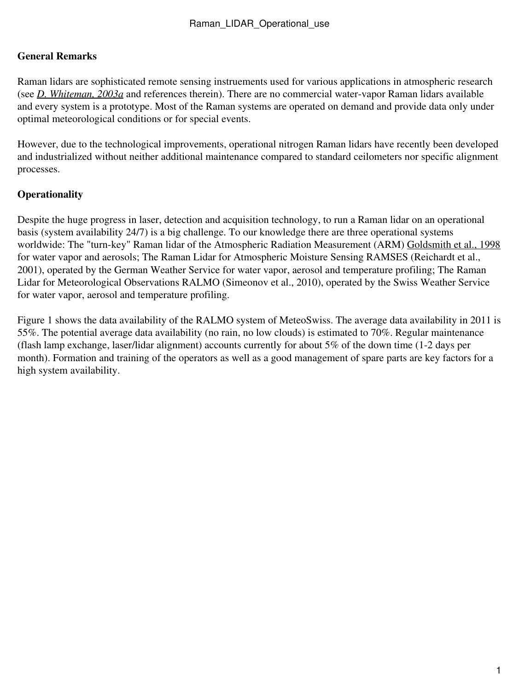## **General Remarks**

Raman lidars are sophisticated remote sensing instruements used for various applications in atmospheric research (see *[D. Whiteman, 2003a](http://ramanlidar.gsfc.nasa.gov/activities/publications/data/tempsens1.pdf)* and references therein). There are no commercial water-vapor Raman lidars available and every system is a prototype. Most of the Raman systems are operated on demand and provide data only under optimal meteorological conditions or for special events.

However, due to the technological improvements, operational nitrogen Raman lidars have recently been developed and industrialized without neither additional maintenance compared to standard ceilometers nor specific alignment processes.

## **Operationality**

Despite the huge progress in laser, detection and acquisition technology, to run a Raman lidar on an operational basis (system availability 24/7) is a big challenge. To our knowledge there are three operational systems worldwide: The "turn-key" Raman lidar of the Atmospheric Radiation Measurement (ARM) [Goldsmith et al., 1998](http://www.opticsinfobase.org/ao/abstract.cfm?uri=ao-37-21-4979) for water vapor and aerosols; The Raman Lidar for Atmospheric Moisture Sensing RAMSES (Reichardt et al., 2001), operated by the German Weather Service for water vapor, aerosol and temperature profiling; The Raman Lidar for Meteorological Observations RALMO (Simeonov et al., 2010), operated by the Swiss Weather Service for water vapor, aerosol and temperature profiling.

Figure 1 shows the data availability of the RALMO system of MeteoSwiss. The average data availability in 2011 is 55%. The potential average data availability (no rain, no low clouds) is estimated to 70%. Regular maintenance (flash lamp exchange, laser/lidar alignment) accounts currently for about 5% of the down time (1-2 days per month). Formation and training of the operators as well as a good management of spare parts are key factors for a high system availability.